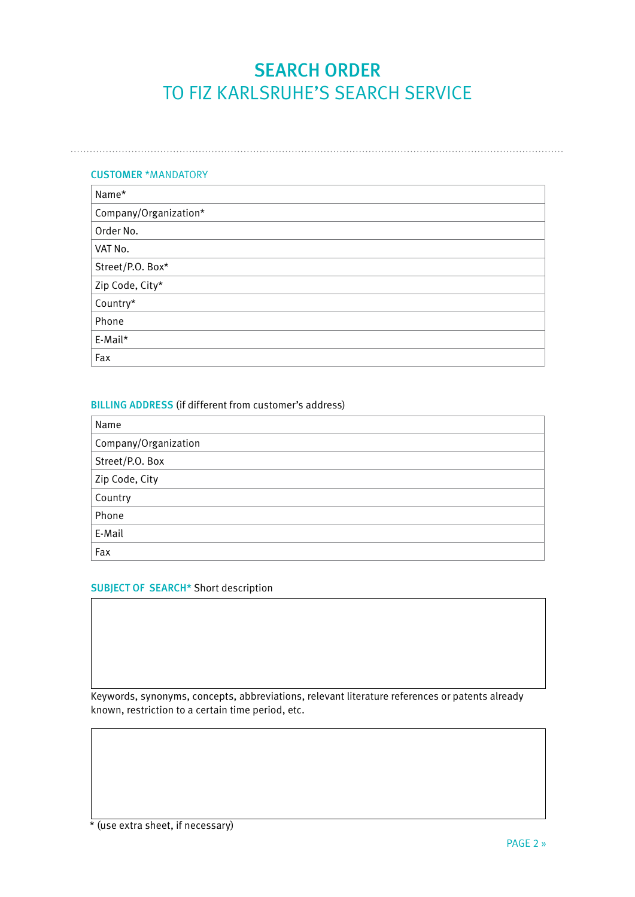# SEARCH ORDER TO FIZ KARLSRUHE'S SEARCH SERVICE

### CUSTOMER \*MANDATORY

| Name*                 |  |  |  |  |
|-----------------------|--|--|--|--|
| Company/Organization* |  |  |  |  |
| Order No.             |  |  |  |  |
| VAT No.               |  |  |  |  |
| Street/P.O. Box*      |  |  |  |  |
| Zip Code, City*       |  |  |  |  |
| Country*              |  |  |  |  |
| Phone                 |  |  |  |  |
| E-Mail*               |  |  |  |  |
| Fax                   |  |  |  |  |

## BILLING ADDRESS (if different from customer's address)

| Name                 |  |  |  |  |
|----------------------|--|--|--|--|
| Company/Organization |  |  |  |  |
| Street/P.O. Box      |  |  |  |  |
| Zip Code, City       |  |  |  |  |
| Country              |  |  |  |  |
| Phone                |  |  |  |  |
| E-Mail               |  |  |  |  |
| Fax                  |  |  |  |  |

### SUBJECT OF SEARCH\* Short description

Keywords, synonyms, concepts, abbreviations, relevant literature references or patents already known, restriction to a certain time period, etc.